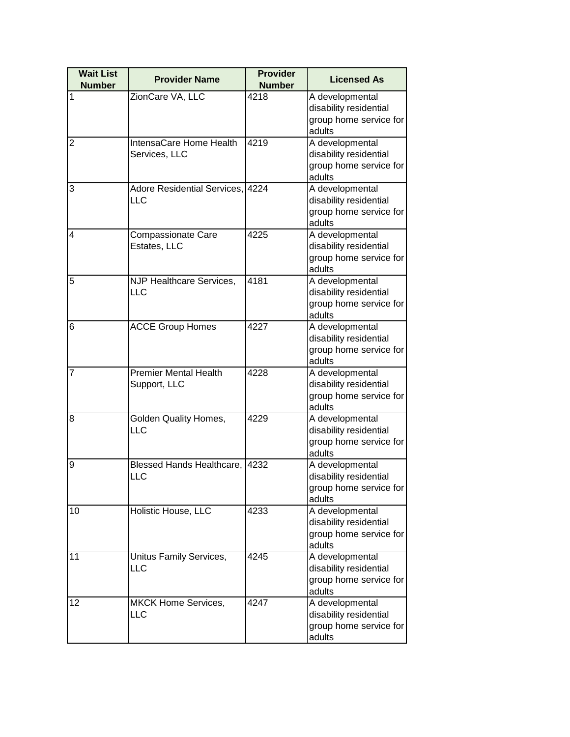| <b>Wait List</b><br><b>Number</b> | <b>Provider Name</b>         | <b>Provider</b><br><b>Number</b> | <b>Licensed As</b>               |
|-----------------------------------|------------------------------|----------------------------------|----------------------------------|
| 1                                 | ZionCare VA, LLC             | 4218                             | A developmental                  |
|                                   |                              |                                  | disability residential           |
|                                   |                              |                                  | group home service for           |
|                                   |                              |                                  | adults                           |
| $\overline{2}$                    | IntensaCare Home Health      | 4219                             | A developmental                  |
|                                   | Services, LLC                |                                  | disability residential           |
|                                   |                              |                                  | group home service for           |
|                                   |                              |                                  | adults                           |
| 3                                 | Adore Residential Services,  | 4224                             | A developmental                  |
|                                   | <b>LLC</b>                   |                                  | disability residential           |
|                                   |                              |                                  | group home service for           |
|                                   |                              |                                  | adults                           |
| 4                                 | <b>Compassionate Care</b>    | 4225                             | A developmental                  |
|                                   | Estates, LLC                 |                                  | disability residential           |
|                                   |                              |                                  | group home service for           |
|                                   |                              |                                  | adults                           |
| 5                                 | NJP Healthcare Services,     | 4181                             | A developmental                  |
|                                   | <b>LLC</b>                   |                                  | disability residential           |
|                                   |                              |                                  | group home service for           |
|                                   |                              |                                  | adults                           |
| 6                                 | <b>ACCE Group Homes</b>      | 4227                             | A developmental                  |
|                                   |                              |                                  | disability residential           |
|                                   |                              |                                  | group home service for           |
|                                   |                              |                                  | adults                           |
| $\overline{7}$                    | <b>Premier Mental Health</b> | 4228                             | A developmental                  |
|                                   | Support, LLC                 |                                  | disability residential           |
|                                   |                              |                                  | group home service for<br>adults |
| 8                                 | <b>Golden Quality Homes,</b> | 4229                             | A developmental                  |
|                                   | LLC                          |                                  | disability residential           |
|                                   |                              |                                  | group home service for           |
|                                   |                              |                                  | adults                           |
| 9                                 | Blessed Hands Healthcare,    | 4232                             | A developmental                  |
|                                   | LLC                          |                                  | disability residential           |
|                                   |                              |                                  | group home service for           |
|                                   |                              |                                  | adults                           |
| 10                                | Holistic House, LLC          | 4233                             | A developmental                  |
|                                   |                              |                                  | disability residential           |
|                                   |                              |                                  | group home service for           |
|                                   |                              |                                  | adults                           |
| 11                                | Unitus Family Services,      | 4245                             | A developmental                  |
|                                   | LLC                          |                                  | disability residential           |
|                                   |                              |                                  | group home service for           |
|                                   |                              |                                  | adults                           |
| 12                                | MKCK Home Services,          | 4247                             | A developmental                  |
|                                   | LLC                          |                                  | disability residential           |
|                                   |                              |                                  | group home service for           |
|                                   |                              |                                  | adults                           |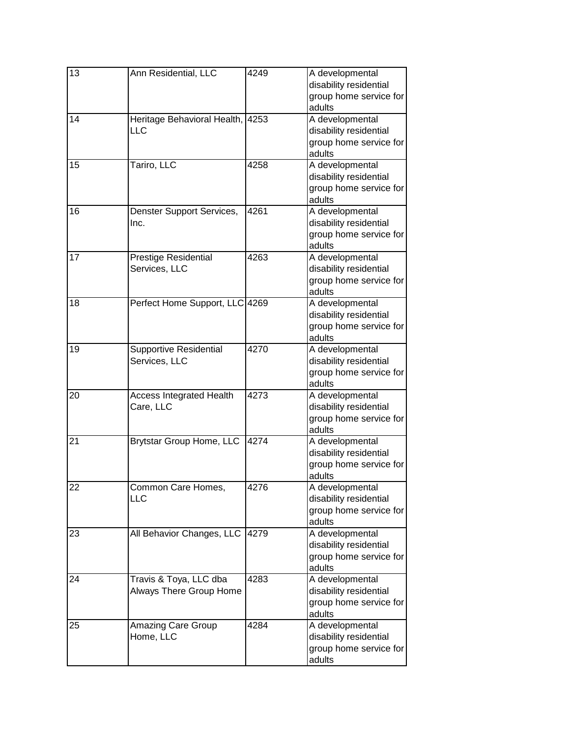| 13 | Ann Residential, LLC                              | 4249 | A developmental<br>disability residential<br>group home service for<br>adults |
|----|---------------------------------------------------|------|-------------------------------------------------------------------------------|
| 14 | Heritage Behavioral Health,<br><b>LLC</b>         | 4253 | A developmental<br>disability residential<br>group home service for<br>adults |
| 15 | Tariro, LLC                                       | 4258 | A developmental<br>disability residential<br>group home service for<br>adults |
| 16 | Denster Support Services,<br>Inc.                 | 4261 | A developmental<br>disability residential<br>group home service for<br>adults |
| 17 | Prestige Residential<br>Services, LLC             | 4263 | A developmental<br>disability residential<br>group home service for<br>adults |
| 18 | Perfect Home Support, LLC 4269                    |      | A developmental<br>disability residential<br>group home service for<br>adults |
| 19 | <b>Supportive Residential</b><br>Services, LLC    | 4270 | A developmental<br>disability residential<br>group home service for<br>adults |
| 20 | <b>Access Integrated Health</b><br>Care, LLC      | 4273 | A developmental<br>disability residential<br>group home service for<br>adults |
| 21 | Brytstar Group Home, LLC                          | 4274 | A developmental<br>disability residential<br>group home service for<br>adults |
| 22 | Common Care Homes,<br>LLC                         | 4276 | A developmental<br>disability residential<br>group home service for<br>adults |
| 23 | All Behavior Changes, LLC                         | 4279 | A developmental<br>disability residential<br>group home service for<br>adults |
| 24 | Travis & Toya, LLC dba<br>Always There Group Home | 4283 | A developmental<br>disability residential<br>group home service for<br>adults |
| 25 | Amazing Care Group<br>Home, LLC                   | 4284 | A developmental<br>disability residential<br>group home service for<br>adults |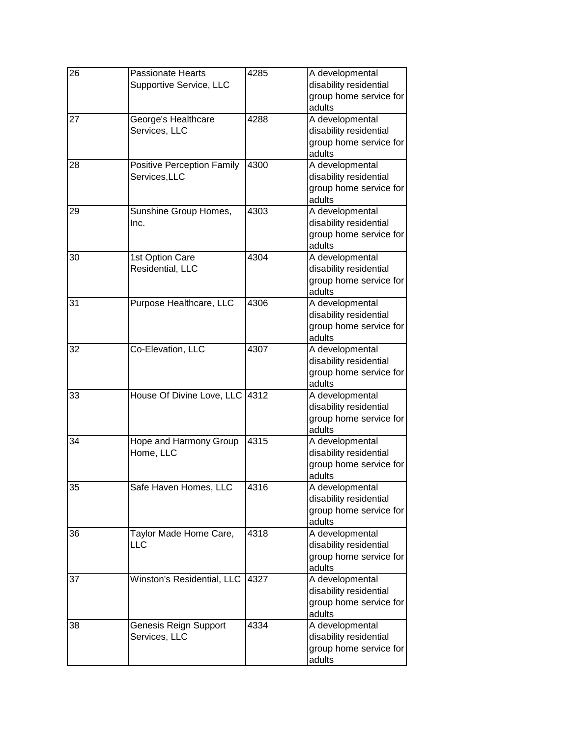| $\overline{26}$ | Passionate Hearts<br>Supportive Service, LLC       | 4285 | A developmental<br>disability residential<br>group home service for<br>adults |
|-----------------|----------------------------------------------------|------|-------------------------------------------------------------------------------|
| 27              | George's Healthcare<br>Services, LLC               | 4288 | A developmental<br>disability residential<br>group home service for<br>adults |
| 28              | <b>Positive Perception Family</b><br>Services, LLC | 4300 | A developmental<br>disability residential<br>group home service for<br>adults |
| 29              | Sunshine Group Homes,<br>Inc.                      | 4303 | A developmental<br>disability residential<br>group home service for<br>adults |
| 30              | 1st Option Care<br>Residential, LLC                | 4304 | A developmental<br>disability residential<br>group home service for<br>adults |
| 31              | Purpose Healthcare, LLC                            | 4306 | A developmental<br>disability residential<br>group home service for<br>adults |
| 32              | Co-Elevation, LLC                                  | 4307 | A developmental<br>disability residential<br>group home service for<br>adults |
| 33              | House Of Divine Love, LLC 4312                     |      | A developmental<br>disability residential<br>group home service for<br>adults |
| 34              | Hope and Harmony Group<br>Home, LLC                | 4315 | A developmental<br>disability residential<br>group home service for<br>adults |
| 35              | Safe Haven Homes, LLC                              | 4316 | A developmental<br>disability residential<br>group home service for<br>adults |
| 36              | Taylor Made Home Care,<br>LLC                      | 4318 | A developmental<br>disability residential<br>group home service for<br>adults |
| 37              | Winston's Residential, LLC                         | 4327 | A developmental<br>disability residential<br>group home service for<br>adults |
| 38              | Genesis Reign Support<br>Services, LLC             | 4334 | A developmental<br>disability residential<br>group home service for<br>adults |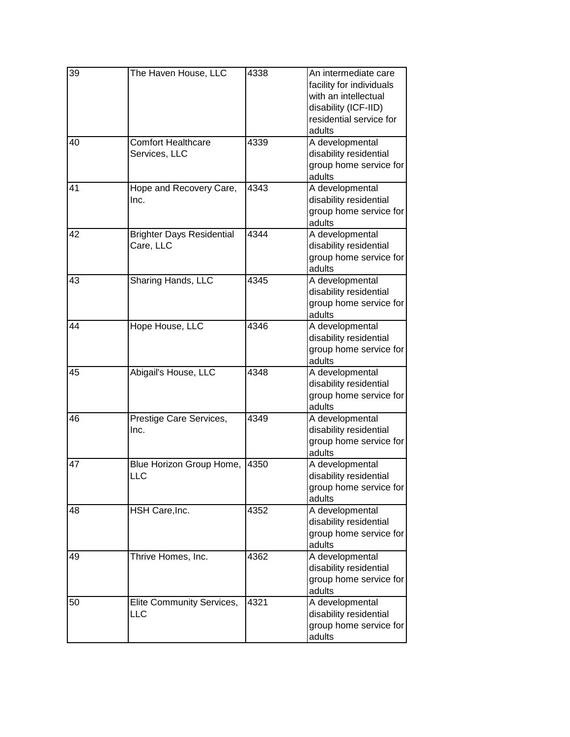| 39 | The Haven House, LLC                          | 4338 | An intermediate care<br>facility for individuals<br>with an intellectual<br>disability (ICF-IID)<br>residential service for<br>adults |
|----|-----------------------------------------------|------|---------------------------------------------------------------------------------------------------------------------------------------|
| 40 | <b>Comfort Healthcare</b><br>Services, LLC    | 4339 | A developmental<br>disability residential<br>group home service for<br>adults                                                         |
| 41 | Hope and Recovery Care,<br>Inc.               | 4343 | A developmental<br>disability residential<br>group home service for<br>adults                                                         |
| 42 | <b>Brighter Days Residential</b><br>Care, LLC | 4344 | A developmental<br>disability residential<br>group home service for<br>adults                                                         |
| 43 | Sharing Hands, LLC                            | 4345 | A developmental<br>disability residential<br>group home service for<br>adults                                                         |
| 44 | Hope House, LLC                               | 4346 | A developmental<br>disability residential<br>group home service for<br>adults                                                         |
| 45 | Abigail's House, LLC                          | 4348 | A developmental<br>disability residential<br>group home service for<br>adults                                                         |
| 46 | Prestige Care Services,<br>Inc.               | 4349 | A developmental<br>disability residential<br>group home service for<br>adults                                                         |
| 47 | Blue Horizon Group Home,<br><b>LLC</b>        | 4350 | A developmental<br>disability residential<br>group home service for<br>adults                                                         |
| 48 | HSH Care, Inc.                                | 4352 | A developmental<br>disability residential<br>group home service for<br>adults                                                         |
| 49 | Thrive Homes, Inc.                            | 4362 | A developmental<br>disability residential<br>group home service for<br>adults                                                         |
| 50 | Elite Community Services,<br><b>LLC</b>       | 4321 | A developmental<br>disability residential<br>group home service for<br>adults                                                         |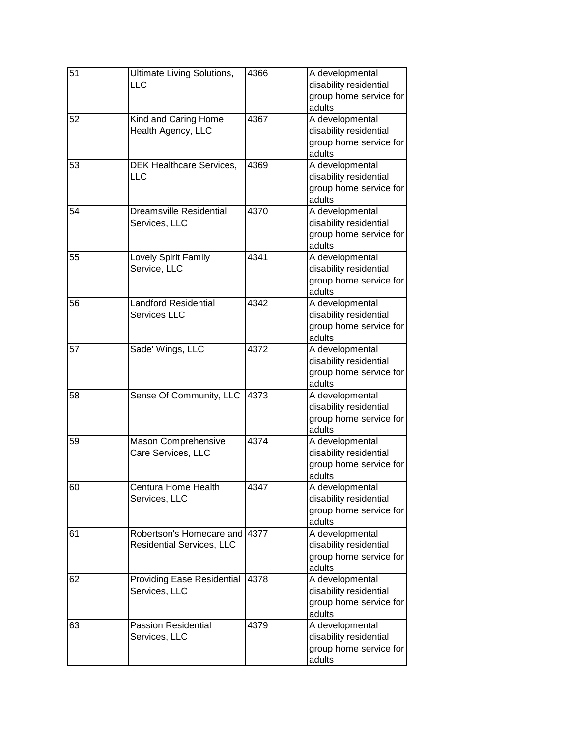| $\overline{51}$ | Ultimate Living Solutions,        | 4366 | A developmental        |
|-----------------|-----------------------------------|------|------------------------|
|                 | LLC                               |      | disability residential |
|                 |                                   |      | group home service for |
|                 |                                   |      | adults                 |
| 52              | Kind and Caring Home              | 4367 | A developmental        |
|                 | Health Agency, LLC                |      | disability residential |
|                 |                                   |      | group home service for |
|                 |                                   |      | adults                 |
| 53              | DEK Healthcare Services,          | 4369 | A developmental        |
|                 | LLC                               |      | disability residential |
|                 |                                   |      | group home service for |
|                 |                                   |      | adults                 |
| 54              | <b>Dreamsville Residential</b>    | 4370 | A developmental        |
|                 | Services, LLC                     |      | disability residential |
|                 |                                   |      | group home service for |
|                 |                                   |      | adults                 |
| 55              | Lovely Spirit Family              | 4341 | A developmental        |
|                 | Service, LLC                      |      | disability residential |
|                 |                                   |      | group home service for |
|                 |                                   |      | adults                 |
| 56              | <b>Landford Residential</b>       | 4342 | A developmental        |
|                 | <b>Services LLC</b>               |      | disability residential |
|                 |                                   |      | group home service for |
|                 |                                   |      | adults                 |
| 57              | Sade' Wings, LLC                  | 4372 | A developmental        |
|                 |                                   |      | disability residential |
|                 |                                   |      | group home service for |
|                 |                                   |      | adults                 |
| 58              | Sense Of Community, LLC           | 4373 | A developmental        |
|                 |                                   |      | disability residential |
|                 |                                   |      | group home service for |
|                 |                                   |      | adults                 |
| 59              | Mason Comprehensive               | 4374 | A developmental        |
|                 | Care Services, LLC                |      | disability residential |
|                 |                                   |      | group home service for |
|                 |                                   |      | adults                 |
| 60              | Centura Home Health               | 4347 | A developmental        |
|                 | Services, LLC                     |      | disability residential |
|                 |                                   |      | group home service for |
|                 |                                   |      | adults                 |
| 61              | Robertson's Homecare and 14377    |      | A developmental        |
|                 | <b>Residential Services, LLC</b>  |      | disability residential |
|                 |                                   |      | group home service for |
|                 |                                   |      | adults                 |
| 62              | <b>Providing Ease Residential</b> | 4378 | A developmental        |
|                 | Services, LLC                     |      | disability residential |
|                 |                                   |      | group home service for |
|                 |                                   |      | adults                 |
| 63              | <b>Passion Residential</b>        | 4379 | A developmental        |
|                 | Services, LLC                     |      | disability residential |
|                 |                                   |      | group home service for |
|                 |                                   |      | adults                 |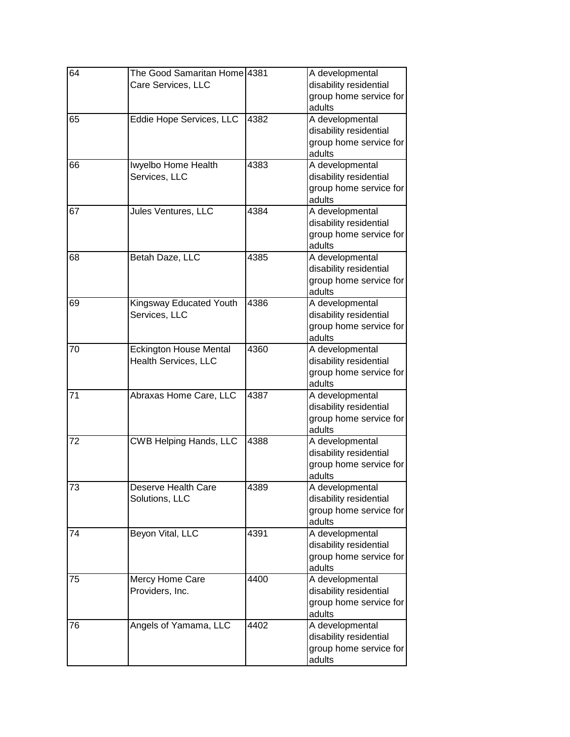| 64 | The Good Samaritan Home 4381  |      | A developmental                                  |
|----|-------------------------------|------|--------------------------------------------------|
|    | Care Services, LLC            |      | disability residential                           |
|    |                               |      | group home service for<br>adults                 |
| 65 | Eddie Hope Services, LLC      | 4382 | A developmental                                  |
|    |                               |      | disability residential                           |
|    |                               |      | group home service for                           |
|    |                               |      | adults                                           |
| 66 | Iwyelbo Home Health           | 4383 | A developmental                                  |
|    | Services, LLC                 |      | disability residential                           |
|    |                               |      | group home service for                           |
|    |                               |      | adults                                           |
| 67 | Jules Ventures, LLC           | 4384 | A developmental                                  |
|    |                               |      | disability residential                           |
|    |                               |      | group home service for                           |
|    |                               |      | adults                                           |
| 68 | Betah Daze, LLC               | 4385 | A developmental<br>disability residential        |
|    |                               |      | group home service for                           |
|    |                               |      | adults                                           |
| 69 | Kingsway Educated Youth       | 4386 | A developmental                                  |
|    | Services, LLC                 |      | disability residential                           |
|    |                               |      | group home service for                           |
|    |                               |      | adults                                           |
| 70 | <b>Eckington House Mental</b> | 4360 | A developmental                                  |
|    | Health Services, LLC          |      | disability residential                           |
|    |                               |      | group home service for                           |
|    |                               |      | adults                                           |
| 71 | Abraxas Home Care, LLC        | 4387 | A developmental                                  |
|    |                               |      | disability residential                           |
|    |                               |      | group home service for                           |
|    |                               | 4388 | adults                                           |
| 72 | <b>CWB Helping Hands, LLC</b> |      | A developmental<br>disability residential        |
|    |                               |      | group home service for                           |
|    |                               |      | adults                                           |
| 73 | Deserve Health Care           | 4389 | A developmental                                  |
|    | Solutions, LLC                |      | disability residential                           |
|    |                               |      | group home service for                           |
|    |                               |      | adults                                           |
| 74 | Beyon Vital, LLC              | 4391 | A developmental                                  |
|    |                               |      | disability residential                           |
|    |                               |      | group home service for                           |
|    |                               |      | adults                                           |
| 75 | Mercy Home Care               | 4400 | A developmental                                  |
|    | Providers, Inc.               |      | disability residential                           |
|    |                               |      | group home service for                           |
|    |                               |      | adults                                           |
| 76 | Angels of Yamama, LLC         | 4402 | A developmental                                  |
|    |                               |      | disability residential<br>group home service for |
|    |                               |      | adults                                           |
|    |                               |      |                                                  |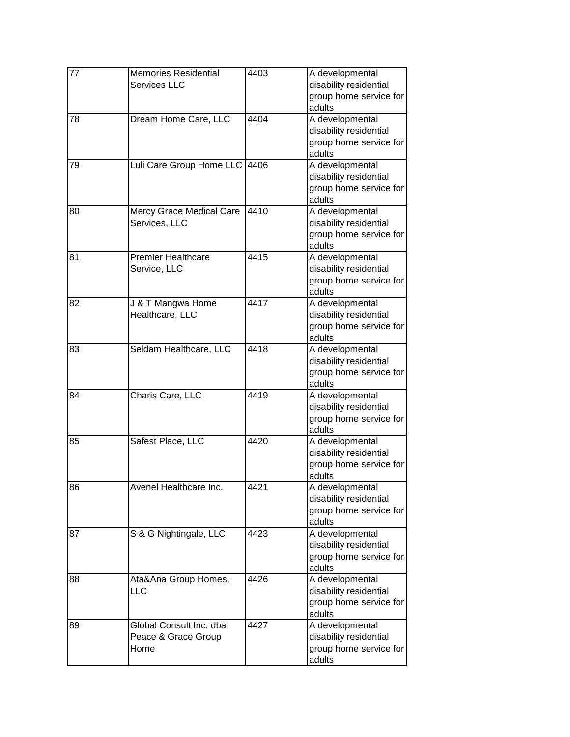| 77 | <b>Memories Residential</b><br><b>Services LLC</b>     | 4403 | A developmental<br>disability residential<br>group home service for<br>adults |
|----|--------------------------------------------------------|------|-------------------------------------------------------------------------------|
| 78 | Dream Home Care, LLC                                   | 4404 | A developmental<br>disability residential<br>group home service for<br>adults |
| 79 | Luli Care Group Home LLC                               | 4406 | A developmental<br>disability residential<br>group home service for<br>adults |
| 80 | Mercy Grace Medical Care<br>Services, LLC              | 4410 | A developmental<br>disability residential<br>group home service for<br>adults |
| 81 | <b>Premier Healthcare</b><br>Service, LLC              | 4415 | A developmental<br>disability residential<br>group home service for<br>adults |
| 82 | J & T Mangwa Home<br>Healthcare, LLC                   | 4417 | A developmental<br>disability residential<br>group home service for<br>adults |
| 83 | Seldam Healthcare, LLC                                 | 4418 | A developmental<br>disability residential<br>group home service for<br>adults |
| 84 | Charis Care, LLC                                       | 4419 | A developmental<br>disability residential<br>group home service for<br>adults |
| 85 | Safest Place, LLC                                      | 4420 | A developmental<br>disability residential<br>group home service for<br>adults |
| 86 | Avenel Healthcare Inc.                                 | 4421 | A developmental<br>disability residential<br>group home service for<br>adults |
| 87 | S & G Nightingale, LLC                                 | 4423 | A developmental<br>disability residential<br>group home service for<br>adults |
| 88 | Ata&Ana Group Homes,<br><b>LLC</b>                     | 4426 | A developmental<br>disability residential<br>group home service for<br>adults |
| 89 | Global Consult Inc. dba<br>Peace & Grace Group<br>Home | 4427 | A developmental<br>disability residential<br>group home service for<br>adults |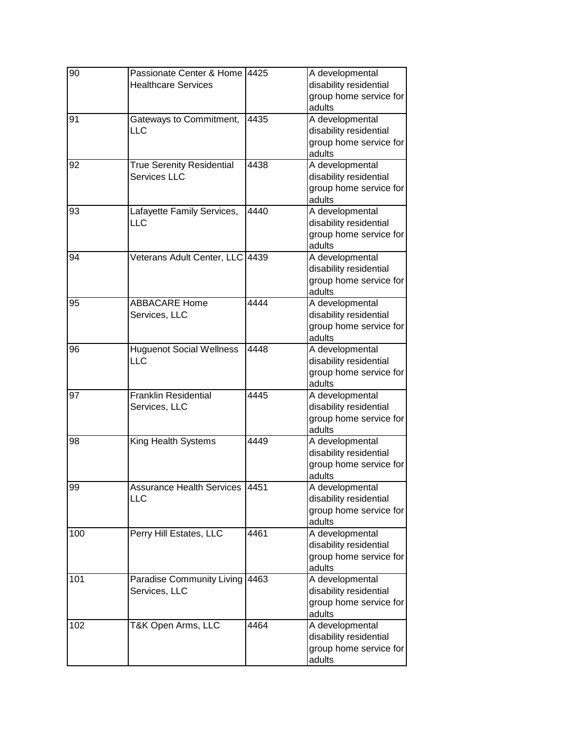| 90  | Passionate Center & Home<br><b>Healthcare Services</b>  | 4425 | A developmental<br>disability residential<br>group home service for<br>adults |
|-----|---------------------------------------------------------|------|-------------------------------------------------------------------------------|
| 91  | Gateways to Commitment,<br>LLC                          | 4435 | A developmental<br>disability residential<br>group home service for<br>adults |
| 92  | <b>True Serenity Residential</b><br><b>Services LLC</b> | 4438 | A developmental<br>disability residential<br>group home service for<br>adults |
| 93  | Lafayette Family Services,<br>LLC                       | 4440 | A developmental<br>disability residential<br>group home service for<br>adults |
| 94  | Veterans Adult Center, LLC                              | 4439 | A developmental<br>disability residential<br>group home service for<br>adults |
| 95  | <b>ABBACARE Home</b><br>Services, LLC                   | 4444 | A developmental<br>disability residential<br>group home service for<br>adults |
| 96  | <b>Huguenot Social Wellness</b><br>LLC                  | 4448 | A developmental<br>disability residential<br>group home service for<br>adults |
| 97  | <b>Franklin Residential</b><br>Services, LLC            | 4445 | A developmental<br>disability residential<br>group home service for<br>adults |
| 98  | King Health Systems                                     | 4449 | A developmental<br>disability residential<br>group home service for<br>adults |
| 99  | <b>Assurance Health Services</b><br>LLC                 | 4451 | A developmental<br>disability residential<br>group home service for<br>adults |
| 100 | Perry Hill Estates, LLC                                 | 4461 | A developmental<br>disability residential<br>group home service for<br>adults |
| 101 | Paradise Community Living<br>Services, LLC              | 4463 | A developmental<br>disability residential<br>group home service for<br>adults |
| 102 | T&K Open Arms, LLC                                      | 4464 | A developmental<br>disability residential<br>group home service for<br>adults |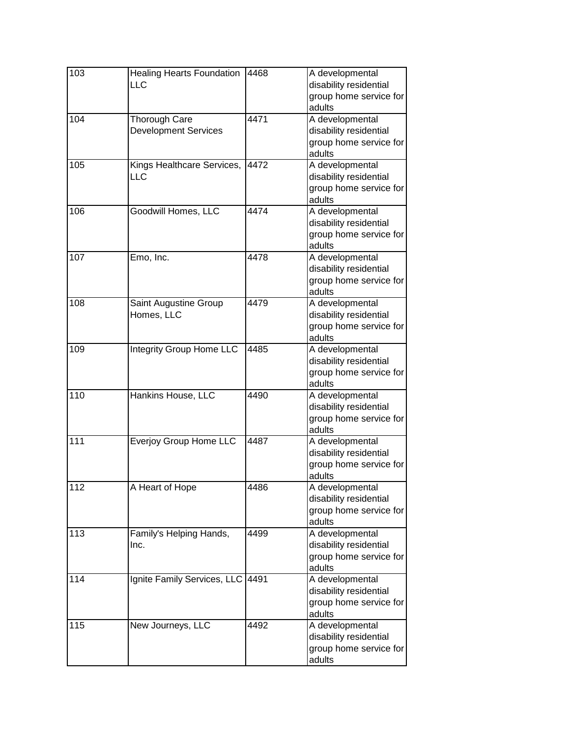| 103 | <b>Healing Hearts Foundation</b><br>LLC             | 4468 | A developmental<br>disability residential<br>group home service for<br>adults |
|-----|-----------------------------------------------------|------|-------------------------------------------------------------------------------|
| 104 | <b>Thorough Care</b><br><b>Development Services</b> | 4471 | A developmental<br>disability residential<br>group home service for<br>adults |
| 105 | Kings Healthcare Services,<br>LLC                   | 4472 | A developmental<br>disability residential<br>group home service for<br>adults |
| 106 | Goodwill Homes, LLC                                 | 4474 | A developmental<br>disability residential<br>group home service for<br>adults |
| 107 | Emo, Inc.                                           | 4478 | A developmental<br>disability residential<br>group home service for<br>adults |
| 108 | Saint Augustine Group<br>Homes, LLC                 | 4479 | A developmental<br>disability residential<br>group home service for<br>adults |
| 109 | <b>Integrity Group Home LLC</b>                     | 4485 | A developmental<br>disability residential<br>group home service for<br>adults |
| 110 | Hankins House, LLC                                  | 4490 | A developmental<br>disability residential<br>group home service for<br>adults |
| 111 | <b>Everjoy Group Home LLC</b>                       | 4487 | A developmental<br>disability residential<br>group home service for<br>adults |
| 112 | A Heart of Hope                                     | 4486 | A developmental<br>disability residential<br>group home service for<br>adults |
| 113 | Family's Helping Hands,<br>Inc.                     | 4499 | A developmental<br>disability residential<br>group home service for<br>adults |
| 114 | Ignite Family Services, LLC 4491                    |      | A developmental<br>disability residential<br>group home service for<br>adults |
| 115 | New Journeys, LLC                                   | 4492 | A developmental<br>disability residential<br>group home service for<br>adults |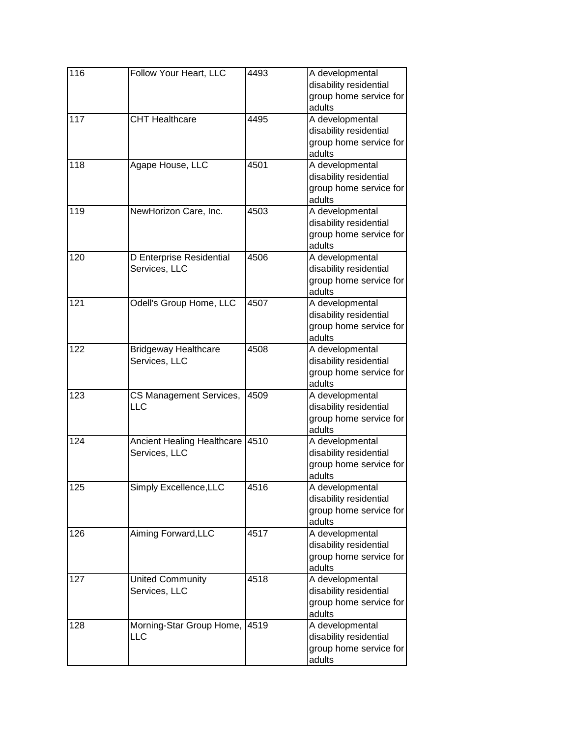| 116 | Follow Your Heart, LLC                       | 4493 | A developmental<br>disability residential<br>group home service for<br>adults |
|-----|----------------------------------------------|------|-------------------------------------------------------------------------------|
| 117 | <b>CHT Healthcare</b>                        | 4495 | A developmental<br>disability residential<br>group home service for<br>adults |
| 118 | Agape House, LLC                             | 4501 | A developmental<br>disability residential<br>group home service for<br>adults |
| 119 | NewHorizon Care, Inc.                        | 4503 | A developmental<br>disability residential<br>group home service for<br>adults |
| 120 | D Enterprise Residential<br>Services, LLC    | 4506 | A developmental<br>disability residential<br>group home service for<br>adults |
| 121 | Odell's Group Home, LLC                      | 4507 | A developmental<br>disability residential<br>group home service for<br>adults |
| 122 | <b>Bridgeway Healthcare</b><br>Services, LLC | 4508 | A developmental<br>disability residential<br>group home service for<br>adults |
| 123 | CS Management Services,<br>LLC               | 4509 | A developmental<br>disability residential<br>group home service for<br>adults |
| 124 | Ancient Healing Healthcare<br>Services, LLC  | 4510 | A developmental<br>disability residential<br>group home service for<br>adults |
| 125 | Simply Excellence, LLC                       | 4516 | A developmental<br>disability residential<br>group home service for<br>adults |
| 126 | Aiming Forward, LLC                          | 4517 | A developmental<br>disability residential<br>group home service for<br>adults |
| 127 | <b>United Community</b><br>Services, LLC     | 4518 | A developmental<br>disability residential<br>group home service for<br>adults |
| 128 | Morning-Star Group Home,<br>LLC              | 4519 | A developmental<br>disability residential<br>group home service for<br>adults |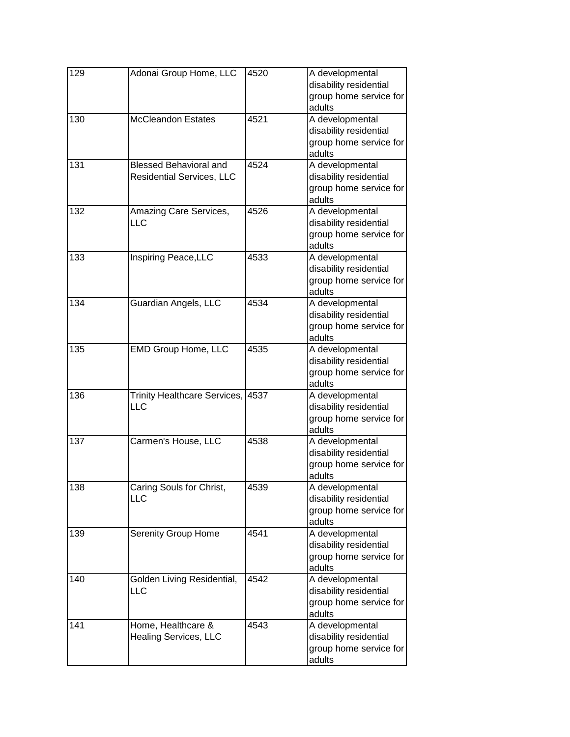| 129 | Adonai Group Home, LLC                                     | 4520 | A developmental<br>disability residential<br>group home service for<br>adults |
|-----|------------------------------------------------------------|------|-------------------------------------------------------------------------------|
| 130 | <b>McCleandon Estates</b>                                  | 4521 | A developmental<br>disability residential<br>group home service for<br>adults |
| 131 | <b>Blessed Behavioral and</b><br>Residential Services, LLC | 4524 | A developmental<br>disability residential<br>group home service for<br>adults |
| 132 | Amazing Care Services,<br>LLC                              | 4526 | A developmental<br>disability residential<br>group home service for<br>adults |
| 133 | Inspiring Peace, LLC                                       | 4533 | A developmental<br>disability residential<br>group home service for<br>adults |
| 134 | Guardian Angels, LLC                                       | 4534 | A developmental<br>disability residential<br>group home service for<br>adults |
| 135 | <b>EMD Group Home, LLC</b>                                 | 4535 | A developmental<br>disability residential<br>group home service for<br>adults |
| 136 | <b>Trinity Healthcare Services,</b><br>LLC                 | 4537 | A developmental<br>disability residential<br>group home service for<br>adults |
| 137 | Carmen's House, LLC                                        | 4538 | A developmental<br>disability residential<br>group home service for<br>adults |
| 138 | Caring Souls for Christ,<br>LLC                            | 4539 | A developmental<br>disability residential<br>group home service for<br>adults |
| 139 | <b>Serenity Group Home</b>                                 | 4541 | A developmental<br>disability residential<br>group home service for<br>adults |
| 140 | Golden Living Residential,<br>LLC                          | 4542 | A developmental<br>disability residential<br>group home service for<br>adults |
| 141 | Home, Healthcare &<br><b>Healing Services, LLC</b>         | 4543 | A developmental<br>disability residential<br>group home service for<br>adults |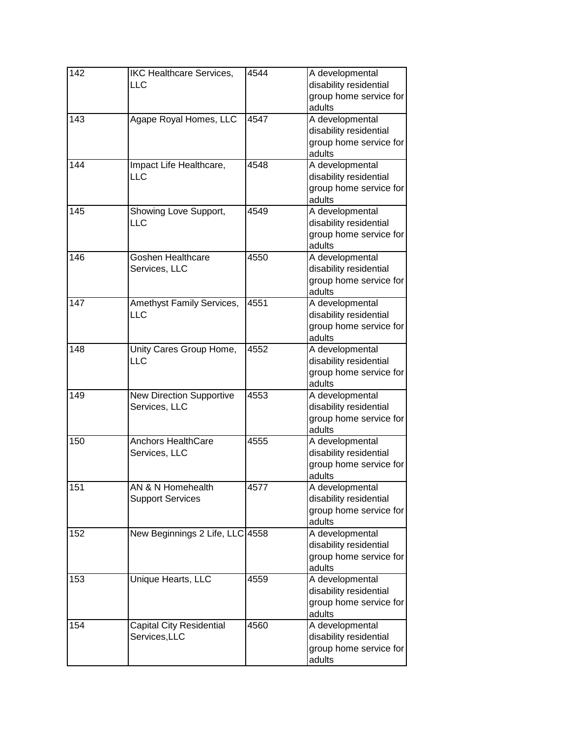| 142 | <b>IKC Healthcare Services,</b><br><b>LLC</b>    | 4544 | A developmental<br>disability residential<br>group home service for<br>adults |
|-----|--------------------------------------------------|------|-------------------------------------------------------------------------------|
| 143 | Agape Royal Homes, LLC                           | 4547 | A developmental<br>disability residential<br>group home service for<br>adults |
| 144 | Impact Life Healthcare,<br>LLC                   | 4548 | A developmental<br>disability residential<br>group home service for<br>adults |
| 145 | Showing Love Support,<br>LLC                     | 4549 | A developmental<br>disability residential<br>group home service for<br>adults |
| 146 | Goshen Healthcare<br>Services, LLC               | 4550 | A developmental<br>disability residential<br>group home service for<br>adults |
| 147 | Amethyst Family Services,<br>LLC                 | 4551 | A developmental<br>disability residential<br>group home service for<br>adults |
| 148 | Unity Cares Group Home,<br>LLC                   | 4552 | A developmental<br>disability residential<br>group home service for<br>adults |
| 149 | <b>New Direction Supportive</b><br>Services, LLC | 4553 | A developmental<br>disability residential<br>group home service for<br>adults |
| 150 | <b>Anchors HealthCare</b><br>Services, LLC       | 4555 | A developmental<br>disability residential<br>group home service for<br>adults |
| 151 | AN & N Homehealth<br><b>Support Services</b>     | 4577 | A developmental<br>disability residential<br>group home service for<br>adults |
| 152 | New Beginnings 2 Life, LLC 4558                  |      | A developmental<br>disability residential<br>group home service for<br>adults |
| 153 | Unique Hearts, LLC                               | 4559 | A developmental<br>disability residential<br>group home service for<br>adults |
| 154 | <b>Capital City Residential</b><br>Services, LLC | 4560 | A developmental<br>disability residential<br>group home service for<br>adults |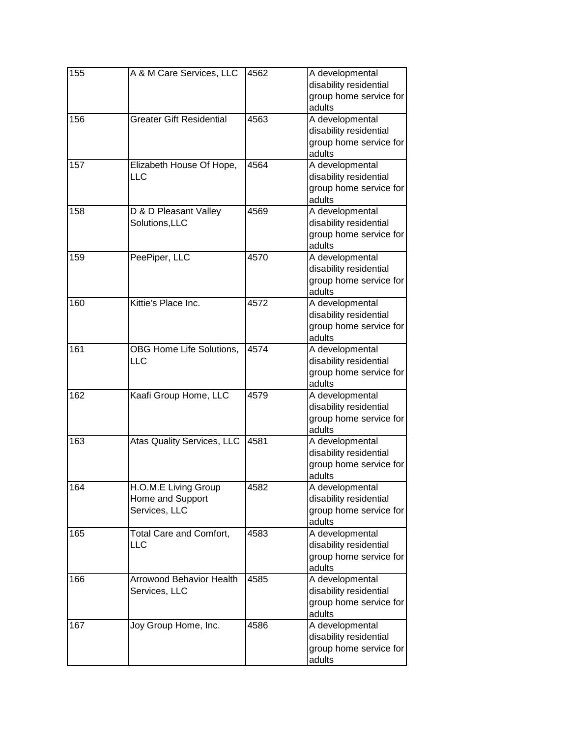| 155 | A & M Care Services, LLC                                  | 4562 | A developmental<br>disability residential<br>group home service for<br>adults |
|-----|-----------------------------------------------------------|------|-------------------------------------------------------------------------------|
| 156 | <b>Greater Gift Residential</b>                           | 4563 | A developmental<br>disability residential<br>group home service for<br>adults |
| 157 | Elizabeth House Of Hope,<br><b>LLC</b>                    | 4564 | A developmental<br>disability residential<br>group home service for<br>adults |
| 158 | D & D Pleasant Valley<br>Solutions, LLC                   | 4569 | A developmental<br>disability residential<br>group home service for<br>adults |
| 159 | PeePiper, LLC                                             | 4570 | A developmental<br>disability residential<br>group home service for<br>adults |
| 160 | Kittie's Place Inc.                                       | 4572 | A developmental<br>disability residential<br>group home service for<br>adults |
| 161 | OBG Home Life Solutions,<br>LLC                           | 4574 | A developmental<br>disability residential<br>group home service for<br>adults |
| 162 | Kaafi Group Home, LLC                                     | 4579 | A developmental<br>disability residential<br>group home service for<br>adults |
| 163 | Atas Quality Services, LLC                                | 4581 | A developmental<br>disability residential<br>group home service for<br>adults |
| 164 | H.O.M.E Living Group<br>Home and Support<br>Services, LLC | 4582 | A developmental<br>disability residential<br>group home service for<br>adults |
| 165 | Total Care and Comfort,<br><b>LLC</b>                     | 4583 | A developmental<br>disability residential<br>group home service for<br>adults |
| 166 | <b>Arrowood Behavior Health</b><br>Services, LLC          | 4585 | A developmental<br>disability residential<br>group home service for<br>adults |
| 167 | Joy Group Home, Inc.                                      | 4586 | A developmental<br>disability residential<br>group home service for<br>adults |